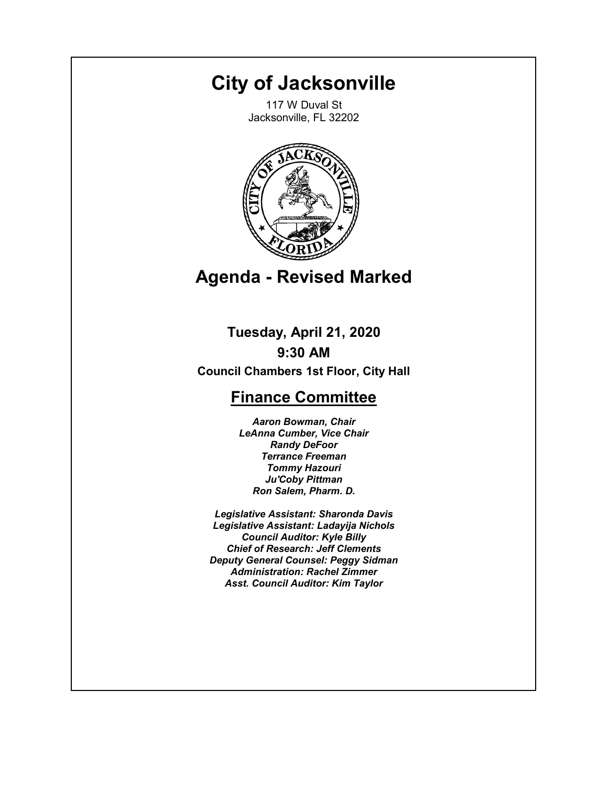# **City of Jacksonville**

117 W Duval St Jacksonville, FL 32202



# **Agenda - Revised Marked**

**Tuesday, April 21, 2020 9:30 AM**

**Council Chambers 1st Floor, City Hall**

# **Finance Committee**

*Aaron Bowman, Chair LeAnna Cumber, Vice Chair Randy DeFoor Terrance Freeman Tommy Hazouri Ju'Coby Pittman Ron Salem, Pharm. D.*

*Legislative Assistant: Sharonda Davis Legislative Assistant: Ladayija Nichols Council Auditor: Kyle Billy Chief of Research: Jeff Clements Deputy General Counsel: Peggy Sidman Administration: Rachel Zimmer Asst. Council Auditor: Kim Taylor*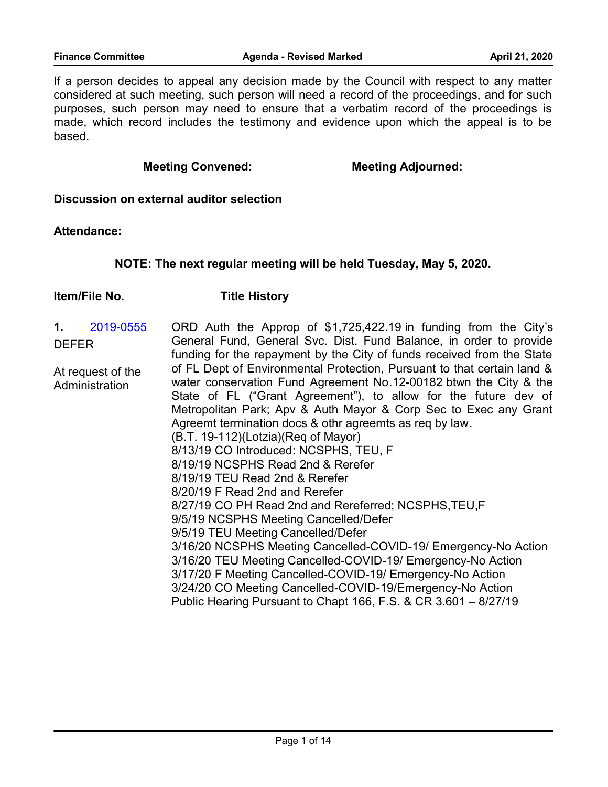If a person decides to appeal any decision made by the Council with respect to any matter considered at such meeting, such person will need a record of the proceedings, and for such purposes, such person may need to ensure that a verbatim record of the proceedings is made, which record includes the testimony and evidence upon which the appeal is to be based.

**Meeting Convened: Meeting Adjourned:**

**Discussion on external auditor selection**

**Attendance:**

#### **NOTE: The next regular meeting will be held Tuesday, May 5, 2020.**

**Item/File No. Title History**

- ORD Auth the Approp of \$1,725,422.19 in funding from the City's General Fund, General Svc. Dist. Fund Balance, in order to provide funding for the repayment by the City of funds received from the State of FL Dept of Environmental Protection, Pursuant to that certain land & water conservation Fund Agreement No.12-00182 btwn the City & the State of FL ("Grant Agreement"), to allow for the future dev of Metropolitan Park; Apv & Auth Mayor & Corp Sec to Exec any Grant Agreemt termination docs & othr agreemts as req by law. (B.T. 19-112)(Lotzia)(Req of Mayor) 8/13/19 CO Introduced: NCSPHS, TEU, F 8/19/19 NCSPHS Read 2nd & Rerefer 8/19/19 TEU Read 2nd & Rerefer 8/20/19 F Read 2nd and Rerefer 8/27/19 CO PH Read 2nd and Rereferred; NCSPHS,TEU,F 9/5/19 NCSPHS Meeting Cancelled/Defer 9/5/19 TEU Meeting Cancelled/Defer 3/16/20 NCSPHS Meeting Cancelled-COVID-19/ Emergency-No Action 3/16/20 TEU Meeting Cancelled-COVID-19/ Emergency-No Action 3/17/20 F Meeting Cancelled-COVID-19/ Emergency-No Action 3/24/20 CO Meeting Cancelled-COVID-19/Emergency-No Action **1.** [2019-0555](http://jaxcityc.legistar.com/gateway.aspx?m=l&id=/matter.aspx?key=1680) DEFER At request of the **Administration** 
	- Public Hearing Pursuant to Chapt 166, F.S. & CR 3.601 8/27/19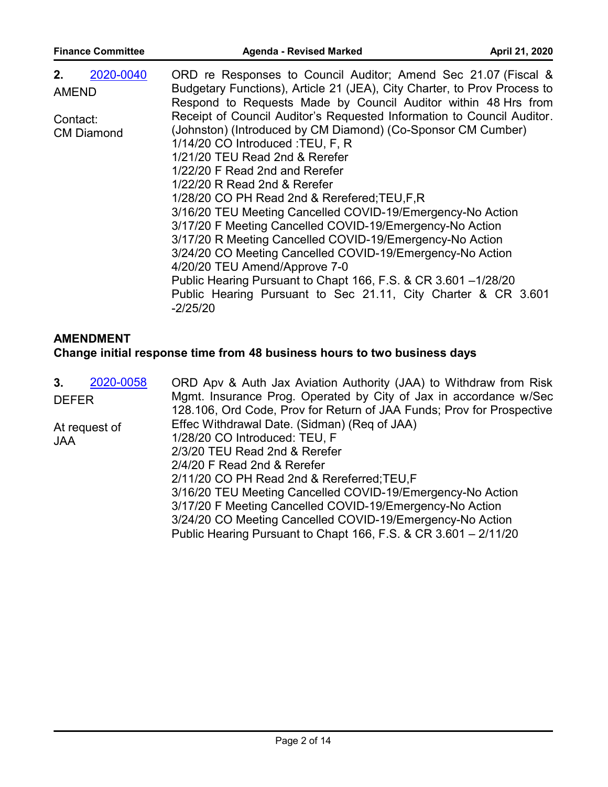| 2.                            | ORD re Responses to Council Auditor; Amend Sec 21.07 (Fiscal &                                                                                                                                                                                                                                                                                                                                                                                                                                                                                                                                                                                                                                                                                                        |
|-------------------------------|-----------------------------------------------------------------------------------------------------------------------------------------------------------------------------------------------------------------------------------------------------------------------------------------------------------------------------------------------------------------------------------------------------------------------------------------------------------------------------------------------------------------------------------------------------------------------------------------------------------------------------------------------------------------------------------------------------------------------------------------------------------------------|
| 2020-0040                     | Budgetary Functions), Article 21 (JEA), City Charter, to Prov Process to                                                                                                                                                                                                                                                                                                                                                                                                                                                                                                                                                                                                                                                                                              |
| <b>AMEND</b>                  | Respond to Requests Made by Council Auditor within 48 Hrs from                                                                                                                                                                                                                                                                                                                                                                                                                                                                                                                                                                                                                                                                                                        |
| Contact:<br><b>CM Diamond</b> | Receipt of Council Auditor's Requested Information to Council Auditor.<br>(Johnston) (Introduced by CM Diamond) (Co-Sponsor CM Cumber)<br>1/14/20 CO Introduced : TEU, F, R<br>1/21/20 TEU Read 2nd & Rerefer<br>1/22/20 F Read 2nd and Rerefer<br>1/22/20 R Read 2nd & Rerefer<br>1/28/20 CO PH Read 2nd & Rerefered; TEU, F, R<br>3/16/20 TEU Meeting Cancelled COVID-19/Emergency-No Action<br>3/17/20 F Meeting Cancelled COVID-19/Emergency-No Action<br>3/17/20 R Meeting Cancelled COVID-19/Emergency-No Action<br>3/24/20 CO Meeting Cancelled COVID-19/Emergency-No Action<br>4/20/20 TEU Amend/Approve 7-0<br>Public Hearing Pursuant to Chapt 166, F.S. & CR 3.601 -1/28/20<br>Public Hearing Pursuant to Sec 21.11, City Charter & CR 3.601<br>$-2/25/20$ |

# **AMENDMENT Change initial response time from 48 business hours to two business days**

| 2020-0058<br>3. | ORD Apv & Auth Jax Aviation Authority (JAA) to Withdraw from Risk     |
|-----------------|-----------------------------------------------------------------------|
| <b>DEFER</b>    | Mgmt. Insurance Prog. Operated by City of Jax in accordance w/Sec     |
|                 | 128.106, Ord Code, Prov for Return of JAA Funds; Prov for Prospective |
| At request of   | Effec Withdrawal Date. (Sidman) (Req of JAA)                          |
| <b>JAA</b>      | 1/28/20 CO Introduced: TEU, F                                         |
|                 | 2/3/20 TEU Read 2nd & Rerefer                                         |
|                 | 2/4/20 F Read 2nd & Rerefer                                           |
|                 | 2/11/20 CO PH Read 2nd & Rereferred; TEU, F                           |
|                 | 3/16/20 TEU Meeting Cancelled COVID-19/Emergency-No Action            |
|                 | 3/17/20 F Meeting Cancelled COVID-19/Emergency-No Action              |
|                 | 3/24/20 CO Meeting Cancelled COVID-19/Emergency-No Action             |
|                 | Public Hearing Pursuant to Chapt 166, F.S. & CR 3.601 - 2/11/20       |
|                 |                                                                       |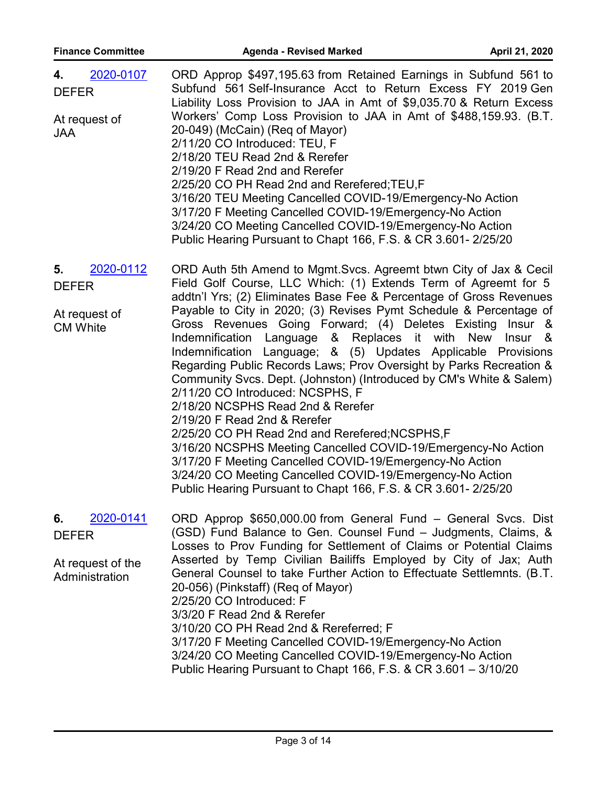| <b>Finance Committee</b>                                       | <b>Agenda - Revised Marked</b>                                                                                                                                                                                                                                                                                                                                                                                                                                                                                                                                                                                                                                                                                                                                                                                   | April 21, 2020              |
|----------------------------------------------------------------|------------------------------------------------------------------------------------------------------------------------------------------------------------------------------------------------------------------------------------------------------------------------------------------------------------------------------------------------------------------------------------------------------------------------------------------------------------------------------------------------------------------------------------------------------------------------------------------------------------------------------------------------------------------------------------------------------------------------------------------------------------------------------------------------------------------|-----------------------------|
| 2020-0107<br>4.<br><b>DEFER</b><br>At request of<br><b>JAA</b> | ORD Approp \$497,195.63 from Retained Earnings in Subfund 561 to<br>Subfund 561 Self-Insurance Acct to Return Excess FY 2019 Gen<br>Liability Loss Provision to JAA in Amt of \$9,035.70 & Return Excess<br>Workers' Comp Loss Provision to JAA in Amt of \$488,159.93. (B.T.<br>20-049) (McCain) (Req of Mayor)<br>2/11/20 CO Introduced: TEU, F<br>2/18/20 TEU Read 2nd & Rerefer<br>2/19/20 F Read 2nd and Rerefer<br>2/25/20 CO PH Read 2nd and Rerefered; TEU, F<br>3/16/20 TEU Meeting Cancelled COVID-19/Emergency-No Action<br>3/17/20 F Meeting Cancelled COVID-19/Emergency-No Action<br>3/24/20 CO Meeting Cancelled COVID-19/Emergency-No Action<br>Public Hearing Pursuant to Chapt 166, F.S. & CR 3.601-2/25/20                                                                                    |                             |
| 2020-0112<br>5.<br><b>DEFER</b>                                | ORD Auth 5th Amend to Mgmt. Svcs. Agreemt btwn City of Jax & Cecil<br>Field Golf Course, LLC Which: (1) Extends Term of Agreemt for 5<br>addtn'l Yrs; (2) Eliminates Base Fee & Percentage of Gross Revenues                                                                                                                                                                                                                                                                                                                                                                                                                                                                                                                                                                                                     |                             |
| At request of<br><b>CM White</b>                               | Payable to City in 2020; (3) Revises Pymt Schedule & Percentage of<br>Gross Revenues Going Forward; (4) Deletes Existing<br>Language & Replaces it with<br>Indemnification<br>Indemnification Language; & (5) Updates Applicable Provisions<br>Regarding Public Records Laws; Prov Oversight by Parks Recreation &<br>Community Svcs. Dept. (Johnston) (Introduced by CM's White & Salem)<br>2/11/20 CO Introduced: NCSPHS, F<br>2/18/20 NCSPHS Read 2nd & Rerefer<br>2/19/20 F Read 2nd & Rerefer<br>2/25/20 CO PH Read 2nd and Rerefered; NCSPHS, F<br>3/16/20 NCSPHS Meeting Cancelled COVID-19/Emergency-No Action<br>3/17/20 F Meeting Cancelled COVID-19/Emergency-No Action<br>3/24/20 CO Meeting Cancelled COVID-19/Emergency-No Action<br>Public Hearing Pursuant to Chapt 166, F.S. & CR 3.601-2/25/20 | $Insur$ &<br>New<br>Insur & |
| 2020-0141<br>6.<br><b>DEFER</b>                                | ORD Approp \$650,000.00 from General Fund - General Svcs. Dist<br>(GSD) Fund Balance to Gen. Counsel Fund - Judgments, Claims, &<br>Losses to Prov Funding for Settlement of Claims or Potential Claims                                                                                                                                                                                                                                                                                                                                                                                                                                                                                                                                                                                                          |                             |
| At request of the<br>Administration                            | Asserted by Temp Civilian Bailiffs Employed by City of Jax; Auth<br>General Counsel to take Further Action to Effectuate Settlemnts. (B.T.<br>20-056) (Pinkstaff) (Req of Mayor)<br>2/25/20 CO Introduced: F<br>3/3/20 F Read 2nd & Rerefer<br>3/10/20 CO PH Read 2nd & Rereferred; F<br>3/17/20 F Meeting Cancelled COVID-19/Emergency-No Action<br>3/24/20 CO Meeting Cancelled COVID-19/Emergency-No Action<br>Public Hearing Pursuant to Chapt 166, F.S. & CR 3.601 - 3/10/20                                                                                                                                                                                                                                                                                                                                |                             |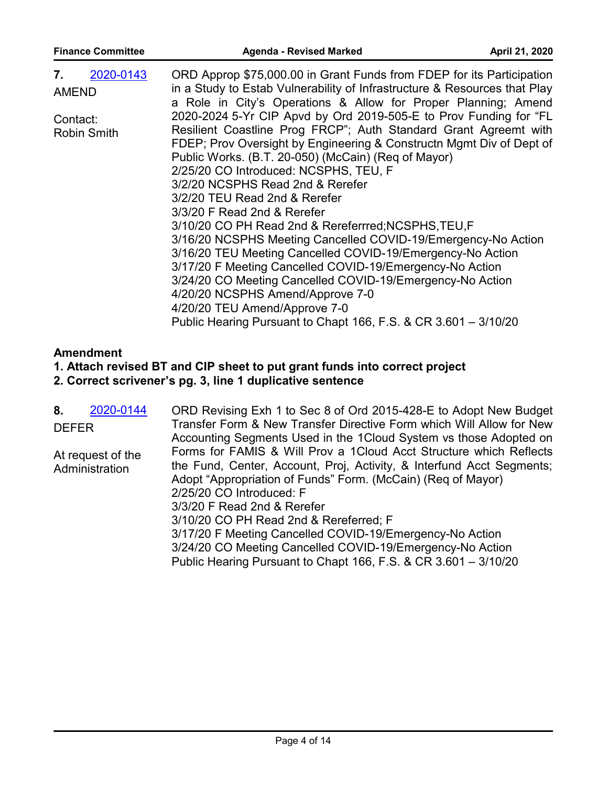| <b>Finance Committee</b> | <b>Agenda - Revised Marked</b>                                                                                                              | April 21, 2020 |
|--------------------------|---------------------------------------------------------------------------------------------------------------------------------------------|----------------|
| 7.<br>2020-0143          | ORD Approp \$75,000.00 in Grant Funds from FDEP for its Participation                                                                       |                |
| <b>AMEND</b>             | in a Study to Estab Vulnerability of Infrastructure & Resources that Play<br>a Role in City's Operations & Allow for Proper Planning; Amend |                |
| Contact:                 | 2020-2024 5-Yr CIP Apvd by Ord 2019-505-E to Prov Funding for "FL                                                                           |                |
| <b>Robin Smith</b>       | Resilient Coastline Prog FRCP"; Auth Standard Grant Agreemt with<br>FDEP; Prov Oversight by Engineering & Constructn Mgmt Div of Dept of    |                |
|                          | Public Works. (B.T. 20-050) (McCain) (Req of Mayor)                                                                                         |                |
|                          | 2/25/20 CO Introduced: NCSPHS, TEU, F                                                                                                       |                |
|                          | 3/2/20 NCSPHS Read 2nd & Rerefer                                                                                                            |                |
|                          | 3/2/20 TEU Read 2nd & Rerefer                                                                                                               |                |
|                          | 3/3/20 F Read 2nd & Rerefer                                                                                                                 |                |
|                          | 3/10/20 CO PH Read 2nd & Rereferrred; NCSPHS, TEU, F                                                                                        |                |
|                          | 3/16/20 NCSPHS Meeting Cancelled COVID-19/Emergency-No Action                                                                               |                |
|                          | 3/16/20 TEU Meeting Cancelled COVID-19/Emergency-No Action                                                                                  |                |
|                          | 3/17/20 F Meeting Cancelled COVID-19/Emergency-No Action                                                                                    |                |
|                          | 3/24/20 CO Meeting Cancelled COVID-19/Emergency-No Action                                                                                   |                |
|                          | 4/20/20 NCSPHS Amend/Approve 7-0                                                                                                            |                |
|                          | 4/20/20 TEU Amend/Approve 7-0                                                                                                               |                |
|                          | Public Hearing Pursuant to Chapt 166, F.S. & CR 3.601 - 3/10/20                                                                             |                |

## **Amendment**

# **1. Attach revised BT and CIP sheet to put grant funds into correct project**

**2. Correct scrivener's pg. 3, line 1 duplicative sentence**

| 2020-0144<br>8.   | ORD Revising Exh 1 to Sec 8 of Ord 2015-428-E to Adopt New Budget     |
|-------------------|-----------------------------------------------------------------------|
| <b>DEFER</b>      | Transfer Form & New Transfer Directive Form which Will Allow for New  |
|                   | Accounting Segments Used in the 1Cloud System vs those Adopted on     |
| At request of the | Forms for FAMIS & Will Prov a 1Cloud Acct Structure which Reflects    |
| Administration    | the Fund, Center, Account, Proj, Activity, & Interfund Acct Segments; |
|                   | Adopt "Appropriation of Funds" Form. (McCain) (Req of Mayor)          |
|                   | 2/25/20 CO Introduced: F                                              |
|                   | 3/3/20 F Read 2nd & Rerefer                                           |
|                   | 3/10/20 CO PH Read 2nd & Rereferred; F                                |
|                   | 3/17/20 F Meeting Cancelled COVID-19/Emergency-No Action              |
|                   | 3/24/20 CO Meeting Cancelled COVID-19/Emergency-No Action             |
|                   | Public Hearing Pursuant to Chapt 166, F.S. & CR 3.601 - 3/10/20       |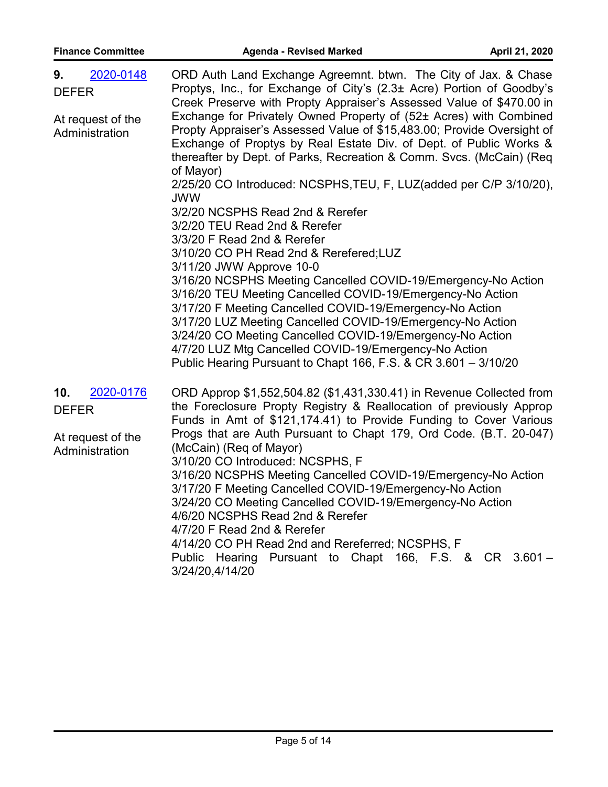| 2020-0148<br>9.                     | ORD Auth Land Exchange Agreemnt. btwn. The City of Jax. & Chase                                                                                                                                                                                                                                                                                                                                                                                |
|-------------------------------------|------------------------------------------------------------------------------------------------------------------------------------------------------------------------------------------------------------------------------------------------------------------------------------------------------------------------------------------------------------------------------------------------------------------------------------------------|
| <b>DEFER</b>                        | Proptys, Inc., for Exchange of City's (2.3± Acre) Portion of Goodby's<br>Creek Preserve with Propty Appraiser's Assessed Value of \$470.00 in                                                                                                                                                                                                                                                                                                  |
| At request of the<br>Administration | Exchange for Privately Owned Property of (52± Acres) with Combined<br>Propty Appraiser's Assessed Value of \$15,483.00; Provide Oversight of<br>Exchange of Proptys by Real Estate Div. of Dept. of Public Works &<br>thereafter by Dept. of Parks, Recreation & Comm. Svcs. (McCain) (Req.<br>of Mayor)                                                                                                                                       |
|                                     | 2/25/20 CO Introduced: NCSPHS, TEU, F, LUZ(added per C/P 3/10/20),<br><b>JWW</b>                                                                                                                                                                                                                                                                                                                                                               |
|                                     | 3/2/20 NCSPHS Read 2nd & Rerefer                                                                                                                                                                                                                                                                                                                                                                                                               |
|                                     | 3/2/20 TEU Read 2nd & Rerefer                                                                                                                                                                                                                                                                                                                                                                                                                  |
|                                     | 3/3/20 F Read 2nd & Rerefer                                                                                                                                                                                                                                                                                                                                                                                                                    |
|                                     | 3/10/20 CO PH Read 2nd & Rerefered;LUZ<br>3/11/20 JWW Approve 10-0                                                                                                                                                                                                                                                                                                                                                                             |
|                                     | 3/16/20 NCSPHS Meeting Cancelled COVID-19/Emergency-No Action<br>3/16/20 TEU Meeting Cancelled COVID-19/Emergency-No Action<br>3/17/20 F Meeting Cancelled COVID-19/Emergency-No Action<br>3/17/20 LUZ Meeting Cancelled COVID-19/Emergency-No Action<br>3/24/20 CO Meeting Cancelled COVID-19/Emergency-No Action<br>4/7/20 LUZ Mtg Cancelled COVID-19/Emergency-No Action<br>Public Hearing Pursuant to Chapt 166, F.S. & CR 3.601 - 3/10/20 |
| 2020-0176<br>10.<br><b>DEFER</b>    | ORD Approp \$1,552,504.82 (\$1,431,330.41) in Revenue Collected from<br>the Foreclosure Propty Registry & Reallocation of previously Approp<br>Funds in Amt of \$121,174.41) to Provide Funding to Cover Various                                                                                                                                                                                                                               |
| At request of the<br>Administration | Progs that are Auth Pursuant to Chapt 179, Ord Code. (B.T. 20-047)<br>(McCain) (Reg of Mayor)<br>3/10/20 CO Introduced: NCSPHS, F                                                                                                                                                                                                                                                                                                              |
|                                     | 3/16/20 NCSPHS Meeting Cancelled COVID-19/Emergency-No Action<br>3/17/20 F Meeting Cancelled COVID-19/Emergency-No Action                                                                                                                                                                                                                                                                                                                      |
|                                     | 3/24/20 CO Meeting Cancelled COVID-19/Emergency-No Action<br>4/6/20 NCSPHS Read 2nd & Rerefer                                                                                                                                                                                                                                                                                                                                                  |
|                                     | 4/7/20 F Read 2nd & Rerefer                                                                                                                                                                                                                                                                                                                                                                                                                    |
|                                     | 4/14/20 CO PH Read 2nd and Rereferred; NCSPHS, F<br>Public Hearing Pursuant to Chapt 166, F.S. & CR 3.601 -<br>3/24/20,4/14/20                                                                                                                                                                                                                                                                                                                 |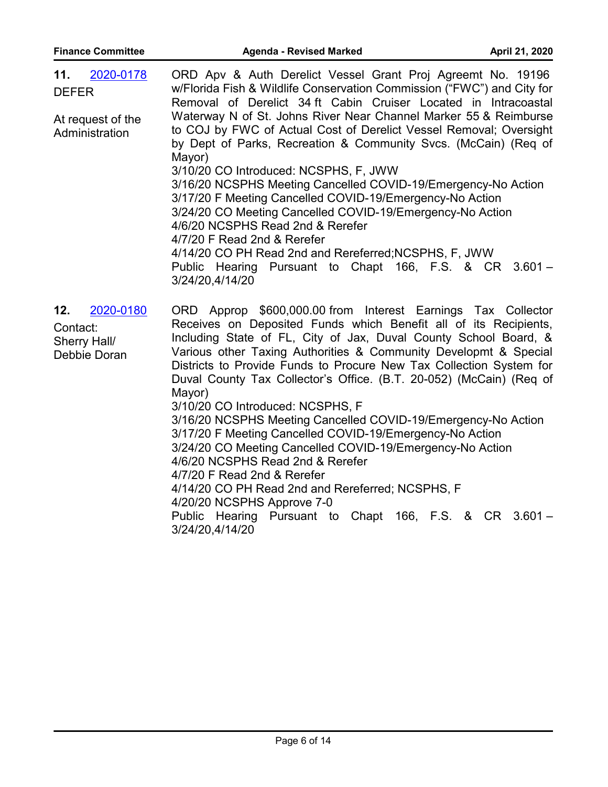| <b>Finance Committee</b>                                     | <b>Agenda - Revised Marked</b>                                                                                                                                                                                                                                                                                                                                                                                                                         |                                                                                                                                                                                                                                                                                                                                                                                                                                                                                                                                                                                                                  |  | April 21, 2020 |
|--------------------------------------------------------------|--------------------------------------------------------------------------------------------------------------------------------------------------------------------------------------------------------------------------------------------------------------------------------------------------------------------------------------------------------------------------------------------------------------------------------------------------------|------------------------------------------------------------------------------------------------------------------------------------------------------------------------------------------------------------------------------------------------------------------------------------------------------------------------------------------------------------------------------------------------------------------------------------------------------------------------------------------------------------------------------------------------------------------------------------------------------------------|--|----------------|
| 2020-0178<br>11.<br><b>DEFER</b>                             | ORD Apv & Auth Derelict Vessel Grant Proj Agreemt No. 19196<br>w/Florida Fish & Wildlife Conservation Commission ("FWC") and City for<br>Removal of Derelict 34 ft Cabin Cruiser Located in Intracoastal                                                                                                                                                                                                                                               |                                                                                                                                                                                                                                                                                                                                                                                                                                                                                                                                                                                                                  |  |                |
| At request of the<br>Administration                          | Waterway N of St. Johns River Near Channel Marker 55 & Reimburse<br>to COJ by FWC of Actual Cost of Derelict Vessel Removal; Oversight<br>by Dept of Parks, Recreation & Community Svcs. (McCain) (Req of<br>Mayor)<br>3/10/20 CO Introduced: NCSPHS, F, JWW<br>3/16/20 NCSPHS Meeting Cancelled COVID-19/Emergency-No Action<br>3/17/20 F Meeting Cancelled COVID-19/Emergency-No Action<br>3/24/20 CO Meeting Cancelled COVID-19/Emergency-No Action |                                                                                                                                                                                                                                                                                                                                                                                                                                                                                                                                                                                                                  |  |                |
|                                                              | 4/6/20 NCSPHS Read 2nd & Rerefer<br>4/7/20 F Read 2nd & Rerefer<br>4/14/20 CO PH Read 2nd and Rereferred; NCSPHS, F, JWW<br>Public Hearing Pursuant to Chapt 166, F.S. & CR 3.601 -<br>3/24/20,4/14/20                                                                                                                                                                                                                                                 |                                                                                                                                                                                                                                                                                                                                                                                                                                                                                                                                                                                                                  |  |                |
| 2020-0180<br>12.<br>Contact:<br>Sherry Hall/<br>Debbie Doran | Mayor)<br>3/10/20 CO Introduced: NCSPHS, F<br>4/6/20 NCSPHS Read 2nd & Rerefer<br>4/7/20 F Read 2nd & Rerefer<br>4/14/20 CO PH Read 2nd and Rereferred; NCSPHS, F<br>4/20/20 NCSPHS Approve 7-0                                                                                                                                                                                                                                                        | ORD Approp \$600,000.00 from Interest Earnings Tax Collector<br>Receives on Deposited Funds which Benefit all of its Recipients,<br>Including State of FL, City of Jax, Duval County School Board, &<br>Various other Taxing Authorities & Community Developmt & Special<br>Districts to Provide Funds to Procure New Tax Collection System for<br>Duval County Tax Collector's Office. (B.T. 20-052) (McCain) (Req of<br>3/16/20 NCSPHS Meeting Cancelled COVID-19/Emergency-No Action<br>3/17/20 F Meeting Cancelled COVID-19/Emergency-No Action<br>3/24/20 CO Meeting Cancelled COVID-19/Emergency-No Action |  |                |
|                                                              | Public Hearing Pursuant to Chapt 166, F.S. & CR 3.601 -<br>3/24/20,4/14/20                                                                                                                                                                                                                                                                                                                                                                             |                                                                                                                                                                                                                                                                                                                                                                                                                                                                                                                                                                                                                  |  |                |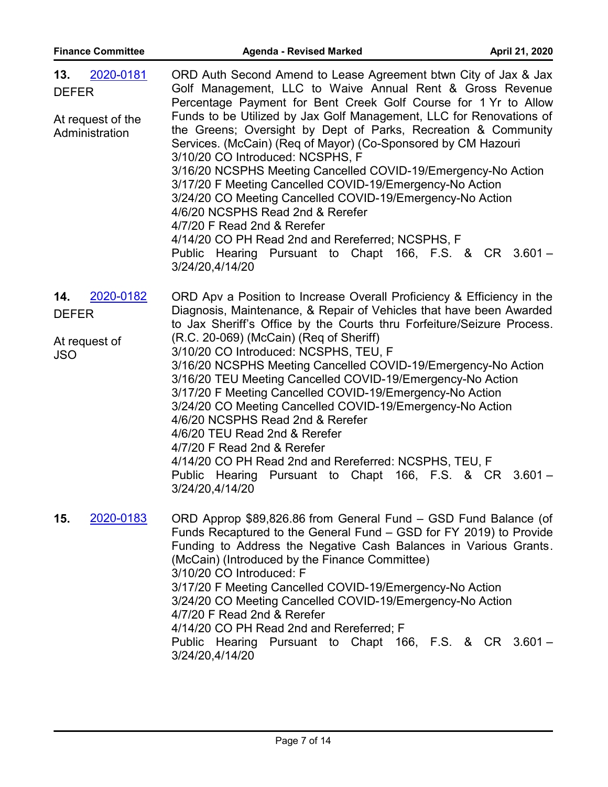| <b>Finance Committee</b>                                                | <b>Agenda - Revised Marked</b>                                                                                                                                                                                                                                                                                                                                                                                                                                                                                                                                                                                                                                                                                                                                                                                                               | April 21, 2020 |
|-------------------------------------------------------------------------|----------------------------------------------------------------------------------------------------------------------------------------------------------------------------------------------------------------------------------------------------------------------------------------------------------------------------------------------------------------------------------------------------------------------------------------------------------------------------------------------------------------------------------------------------------------------------------------------------------------------------------------------------------------------------------------------------------------------------------------------------------------------------------------------------------------------------------------------|----------------|
| 2020-0181<br>13.<br><b>DEFER</b><br>At request of the<br>Administration | ORD Auth Second Amend to Lease Agreement btwn City of Jax & Jax<br>Golf Management, LLC to Waive Annual Rent & Gross Revenue<br>Percentage Payment for Bent Creek Golf Course for 1 Yr to Allow<br>Funds to be Utilized by Jax Golf Management, LLC for Renovations of<br>the Greens; Oversight by Dept of Parks, Recreation & Community<br>Services. (McCain) (Req of Mayor) (Co-Sponsored by CM Hazouri<br>3/10/20 CO Introduced: NCSPHS, F<br>3/16/20 NCSPHS Meeting Cancelled COVID-19/Emergency-No Action<br>3/17/20 F Meeting Cancelled COVID-19/Emergency-No Action<br>3/24/20 CO Meeting Cancelled COVID-19/Emergency-No Action<br>4/6/20 NCSPHS Read 2nd & Rerefer<br>4/7/20 F Read 2nd & Rerefer<br>4/14/20 CO PH Read 2nd and Rereferred; NCSPHS, F<br>Public Hearing Pursuant to Chapt 166, F.S. & CR 3.601 -<br>3/24/20,4/14/20 |                |
| 2020-0182<br>14.<br><b>DEFER</b><br>At request of<br><b>JSO</b>         | ORD Apv a Position to Increase Overall Proficiency & Efficiency in the<br>Diagnosis, Maintenance, & Repair of Vehicles that have been Awarded<br>to Jax Sheriff's Office by the Courts thru Forfeiture/Seizure Process.<br>(R.C. 20-069) (McCain) (Req of Sheriff)<br>3/10/20 CO Introduced: NCSPHS, TEU, F<br>3/16/20 NCSPHS Meeting Cancelled COVID-19/Emergency-No Action<br>3/16/20 TEU Meeting Cancelled COVID-19/Emergency-No Action<br>3/17/20 F Meeting Cancelled COVID-19/Emergency-No Action<br>3/24/20 CO Meeting Cancelled COVID-19/Emergency-No Action<br>4/6/20 NCSPHS Read 2nd & Rerefer<br>4/6/20 TEU Read 2nd & Rerefer<br>4/7/20 F Read 2nd & Rerefer<br>4/14/20 CO PH Read 2nd and Rereferred: NCSPHS, TEU, F<br>Public Hearing Pursuant to Chapt 166, F.S. & CR 3.601 -<br>3/24/20,4/14/20                               |                |
| 2020-0183<br>15.                                                        | ORD Approp \$89,826.86 from General Fund – GSD Fund Balance (of<br>Funds Recaptured to the General Fund – GSD for FY 2019) to Provide<br>Funding to Address the Negative Cash Balances in Various Grants.<br>(McCain) (Introduced by the Finance Committee)<br>3/10/20 CO Introduced: F<br>3/17/20 F Meeting Cancelled COVID-19/Emergency-No Action<br>3/24/20 CO Meeting Cancelled COVID-19/Emergency-No Action<br>4/7/20 F Read 2nd & Rerefer<br>4/14/20 CO PH Read 2nd and Rereferred; F<br>Public Hearing Pursuant to Chapt 166, F.S. & CR 3.601 -<br>3/24/20,4/14/20                                                                                                                                                                                                                                                                    |                |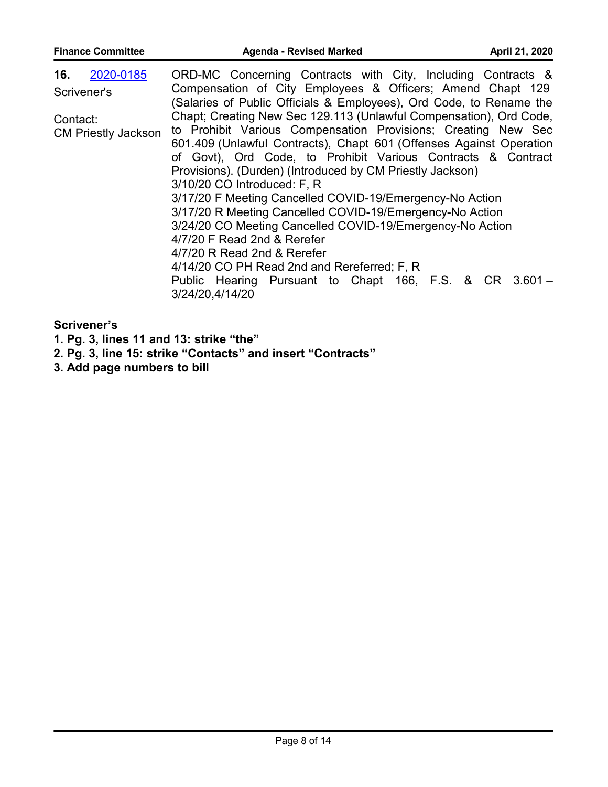| 16. 2020-0185                          | ORD-MC Concerning Contracts with City, Including Contracts &                                                                                                                                                                                                                                                                                                                                                                                                                                                                                                                                                                                                                                                                                           |
|----------------------------------------|--------------------------------------------------------------------------------------------------------------------------------------------------------------------------------------------------------------------------------------------------------------------------------------------------------------------------------------------------------------------------------------------------------------------------------------------------------------------------------------------------------------------------------------------------------------------------------------------------------------------------------------------------------------------------------------------------------------------------------------------------------|
| Scrivener's                            | Compensation of City Employees & Officers; Amend Chapt 129<br>(Salaries of Public Officials & Employees), Ord Code, to Rename the                                                                                                                                                                                                                                                                                                                                                                                                                                                                                                                                                                                                                      |
| Contact:<br><b>CM Priestly Jackson</b> | Chapt; Creating New Sec 129.113 (Unlawful Compensation), Ord Code,<br>to Prohibit Various Compensation Provisions; Creating New Sec<br>601.409 (Unlawful Contracts), Chapt 601 (Offenses Against Operation<br>of Govt), Ord Code, to Prohibit Various Contracts & Contract<br>Provisions). (Durden) (Introduced by CM Priestly Jackson)<br>3/10/20 CO Introduced: F, R<br>3/17/20 F Meeting Cancelled COVID-19/Emergency-No Action<br>3/17/20 R Meeting Cancelled COVID-19/Emergency-No Action<br>3/24/20 CO Meeting Cancelled COVID-19/Emergency-No Action<br>4/7/20 F Read 2nd & Rerefer<br>4/7/20 R Read 2nd & Rerefer<br>4/14/20 CO PH Read 2nd and Rereferred; F, R<br>Public Hearing Pursuant to Chapt 166, F.S. & CR 3.601 -<br>3/24/20,4/14/20 |

**Scrivener's**

- **1. Pg. 3, lines 11 and 13: strike "the"**
- **2. Pg. 3, line 15: strike "Contacts" and insert "Contracts"**
- **3. Add page numbers to bill**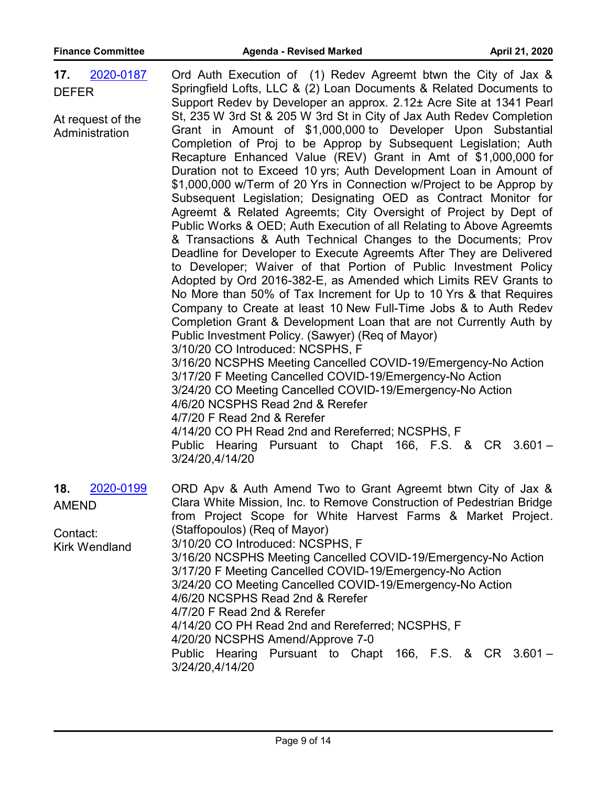| 2020-0187<br>17.                                                                                                                                                                                                                                                                                                                                                                                                                                                                                                                                                                                                                                                                                                                                                                                                                                                                                                                                                                                                                                                                                                                                                                                                                                                                                                                                                                                                                                                                                                                                                                                                                                               | Ord Auth Execution of (1) Redev Agreemt btwn the City of Jax &                                                                                                                                                                                                                                                                                                                                          |
|----------------------------------------------------------------------------------------------------------------------------------------------------------------------------------------------------------------------------------------------------------------------------------------------------------------------------------------------------------------------------------------------------------------------------------------------------------------------------------------------------------------------------------------------------------------------------------------------------------------------------------------------------------------------------------------------------------------------------------------------------------------------------------------------------------------------------------------------------------------------------------------------------------------------------------------------------------------------------------------------------------------------------------------------------------------------------------------------------------------------------------------------------------------------------------------------------------------------------------------------------------------------------------------------------------------------------------------------------------------------------------------------------------------------------------------------------------------------------------------------------------------------------------------------------------------------------------------------------------------------------------------------------------------|---------------------------------------------------------------------------------------------------------------------------------------------------------------------------------------------------------------------------------------------------------------------------------------------------------------------------------------------------------------------------------------------------------|
| <b>DEFER</b>                                                                                                                                                                                                                                                                                                                                                                                                                                                                                                                                                                                                                                                                                                                                                                                                                                                                                                                                                                                                                                                                                                                                                                                                                                                                                                                                                                                                                                                                                                                                                                                                                                                   | Springfield Lofts, LLC & (2) Loan Documents & Related Documents to                                                                                                                                                                                                                                                                                                                                      |
| Support Redev by Developer an approx. 2.12± Acre Site at 1341 Pearl<br>St, 235 W 3rd St & 205 W 3rd St in City of Jax Auth Redev Completion<br>At request of the<br>Grant in Amount of \$1,000,000 to Developer Upon Substantial<br>Administration<br>Completion of Proj to be Approp by Subsequent Legislation; Auth<br>Recapture Enhanced Value (REV) Grant in Amt of \$1,000,000 for<br>Duration not to Exceed 10 yrs; Auth Development Loan in Amount of<br>\$1,000,000 w/Term of 20 Yrs in Connection w/Project to be Approp by<br>Subsequent Legislation; Designating OED as Contract Monitor for<br>Agreemt & Related Agreemts; City Oversight of Project by Dept of<br>Public Works & OED; Auth Execution of all Relating to Above Agreemts<br>& Transactions & Auth Technical Changes to the Documents; Prov<br>Deadline for Developer to Execute Agreemts After They are Delivered<br>to Developer; Waiver of that Portion of Public Investment Policy<br>Adopted by Ord 2016-382-E, as Amended which Limits REV Grants to<br>No More than 50% of Tax Increment for Up to 10 Yrs & that Requires<br>Company to Create at least 10 New Full-Time Jobs & to Auth Redev<br>Completion Grant & Development Loan that are not Currently Auth by<br>Public Investment Policy. (Sawyer) (Req of Mayor)<br>3/10/20 CO Introduced: NCSPHS, F<br>3/16/20 NCSPHS Meeting Cancelled COVID-19/Emergency-No Action<br>3/17/20 F Meeting Cancelled COVID-19/Emergency-No Action<br>3/24/20 CO Meeting Cancelled COVID-19/Emergency-No Action<br>4/6/20 NCSPHS Read 2nd & Rerefer<br>4/7/20 F Read 2nd & Rerefer<br>4/14/20 CO PH Read 2nd and Rereferred; NCSPHS, F |                                                                                                                                                                                                                                                                                                                                                                                                         |
|                                                                                                                                                                                                                                                                                                                                                                                                                                                                                                                                                                                                                                                                                                                                                                                                                                                                                                                                                                                                                                                                                                                                                                                                                                                                                                                                                                                                                                                                                                                                                                                                                                                                | 3/24/20,4/14/20                                                                                                                                                                                                                                                                                                                                                                                         |
| 2020-0199<br>18.<br><b>AMEND</b><br>Contact:<br><b>Kirk Wendland</b>                                                                                                                                                                                                                                                                                                                                                                                                                                                                                                                                                                                                                                                                                                                                                                                                                                                                                                                                                                                                                                                                                                                                                                                                                                                                                                                                                                                                                                                                                                                                                                                           | ORD Apv & Auth Amend Two to Grant Agreemt btwn City of Jax &<br>Clara White Mission, Inc. to Remove Construction of Pedestrian Bridge<br>from Project Scope for White Harvest Farms & Market Project.<br>(Staffopoulos) (Req of Mayor)<br>3/10/20 CO Introduced: NCSPHS, F<br>3/16/20 NCSPHS Meeting Cancelled COVID-19/Emergency-No Action<br>3/17/20 F Meeting Cancelled COVID-19/Emergency-No Action |
|                                                                                                                                                                                                                                                                                                                                                                                                                                                                                                                                                                                                                                                                                                                                                                                                                                                                                                                                                                                                                                                                                                                                                                                                                                                                                                                                                                                                                                                                                                                                                                                                                                                                | 3/24/20 CO Meeting Cancelled COVID-19/Emergency-No Action<br>4/6/20 NCSPHS Read 2nd & Rerefer<br>4/7/20 F Read 2nd & Rerefer<br>4/14/20 CO PH Read 2nd and Rereferred; NCSPHS, F<br>4/20/20 NCSPHS Amend/Approve 7-0<br>Public Hearing Pursuant to Chapt 166, F.S. & CR 3.601 -                                                                                                                         |
|                                                                                                                                                                                                                                                                                                                                                                                                                                                                                                                                                                                                                                                                                                                                                                                                                                                                                                                                                                                                                                                                                                                                                                                                                                                                                                                                                                                                                                                                                                                                                                                                                                                                | 3/24/20,4/14/20                                                                                                                                                                                                                                                                                                                                                                                         |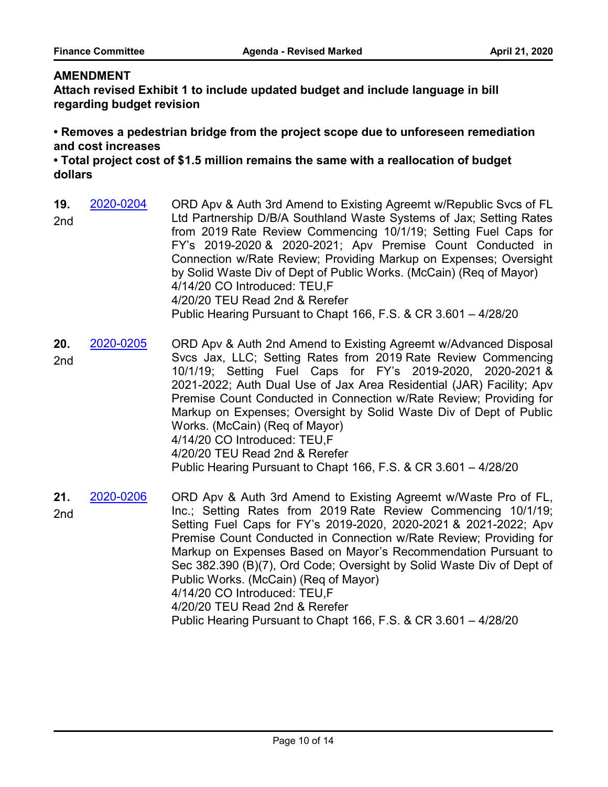#### **AMENDMENT**

**Attach revised Exhibit 1 to include updated budget and include language in bill regarding budget revision**

**• Removes a pedestrian bridge from the project scope due to unforeseen remediation and cost increases**

**• Total project cost of \$1.5 million remains the same with a reallocation of budget dollars**

- ORD Apv & Auth 3rd Amend to Existing Agreemt w/Republic Svcs of FL Ltd Partnership D/B/A Southland Waste Systems of Jax; Setting Rates from 2019 Rate Review Commencing 10/1/19; Setting Fuel Caps for FY's 2019-2020 & 2020-2021; Apv Premise Count Conducted in Connection w/Rate Review; Providing Markup on Expenses; Oversight by Solid Waste Div of Dept of Public Works. (McCain) (Req of Mayor) 4/14/20 CO Introduced: TEU,F 4/20/20 TEU Read 2nd & Rerefer Public Hearing Pursuant to Chapt 166, F.S. & CR 3.601 – 4/28/20 **19.** [2020-0204](http://jaxcityc.legistar.com/gateway.aspx?m=l&id=/matter.aspx?key=2277) 2nd
- ORD Apv & Auth 2nd Amend to Existing Agreemt w/Advanced Disposal Svcs Jax, LLC; Setting Rates from 2019 Rate Review Commencing 10/1/19; Setting Fuel Caps for FY's 2019-2020, 2020-2021 & 2021-2022; Auth Dual Use of Jax Area Residential (JAR) Facility; Apv Premise Count Conducted in Connection w/Rate Review; Providing for Markup on Expenses; Oversight by Solid Waste Div of Dept of Public Works. (McCain) (Req of Mayor) 4/14/20 CO Introduced: TEU,F 4/20/20 TEU Read 2nd & Rerefer Public Hearing Pursuant to Chapt 166, F.S. & CR 3.601 – 4/28/20 **20.** [2020-0205](http://jaxcityc.legistar.com/gateway.aspx?m=l&id=/matter.aspx?key=2278) 2nd
- ORD Apv & Auth 3rd Amend to Existing Agreemt w/Waste Pro of FL, Inc.; Setting Rates from 2019 Rate Review Commencing 10/1/19; Setting Fuel Caps for FY's 2019-2020, 2020-2021 & 2021-2022; Apv Premise Count Conducted in Connection w/Rate Review; Providing for Markup on Expenses Based on Mayor's Recommendation Pursuant to Sec 382.390 (B)(7), Ord Code; Oversight by Solid Waste Div of Dept of Public Works. (McCain) (Req of Mayor) 4/14/20 CO Introduced: TEU,F 4/20/20 TEU Read 2nd & Rerefer Public Hearing Pursuant to Chapt 166, F.S. & CR 3.601 – 4/28/20 **21.** [2020-0206](http://jaxcityc.legistar.com/gateway.aspx?m=l&id=/matter.aspx?key=2279) 2nd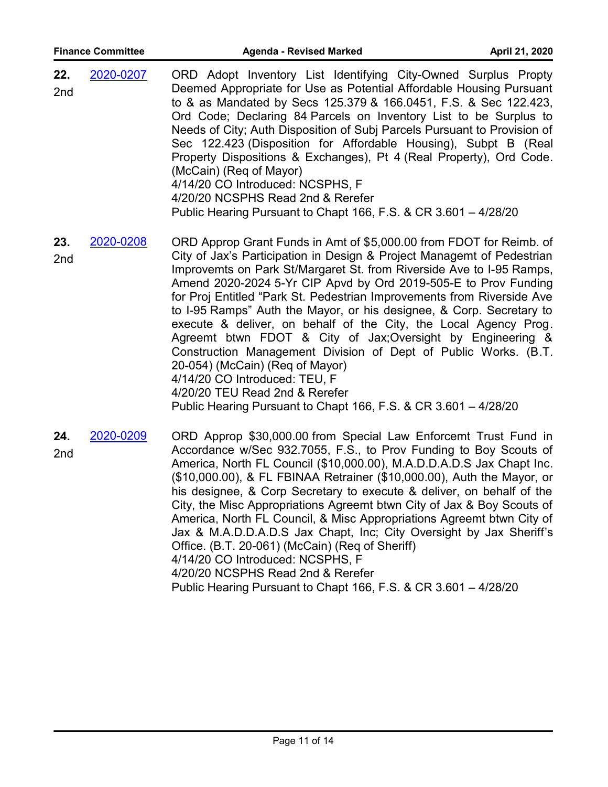| <b>Finance Committee</b> |           | <b>Agenda - Revised Marked</b>                                                                                                                                                                                                                                                                                                                                                                                                                                                                                                                                                                                                                                                                                                                                                                                            | April 21, 2020 |
|--------------------------|-----------|---------------------------------------------------------------------------------------------------------------------------------------------------------------------------------------------------------------------------------------------------------------------------------------------------------------------------------------------------------------------------------------------------------------------------------------------------------------------------------------------------------------------------------------------------------------------------------------------------------------------------------------------------------------------------------------------------------------------------------------------------------------------------------------------------------------------------|----------------|
| 22.<br>2nd               | 2020-0207 | ORD Adopt Inventory List Identifying City-Owned Surplus Propty<br>Deemed Appropriate for Use as Potential Affordable Housing Pursuant<br>to & as Mandated by Secs 125.379 & 166.0451, F.S. & Sec 122.423,<br>Ord Code; Declaring 84 Parcels on Inventory List to be Surplus to<br>Needs of City; Auth Disposition of Subj Parcels Pursuant to Provision of<br>Sec 122.423 (Disposition for Affordable Housing), Subpt B (Real<br>Property Dispositions & Exchanges), Pt 4 (Real Property), Ord Code.<br>(McCain) (Req of Mayor)<br>4/14/20 CO Introduced: NCSPHS, F<br>4/20/20 NCSPHS Read 2nd & Rerefer<br>Public Hearing Pursuant to Chapt 166, F.S. & CR 3.601 - 4/28/20                                                                                                                                               |                |
| 23.<br>2nd               | 2020-0208 | ORD Approp Grant Funds in Amt of \$5,000.00 from FDOT for Reimb. of<br>City of Jax's Participation in Design & Project Managemt of Pedestrian<br>Improvemts on Park St/Margaret St. from Riverside Ave to I-95 Ramps,<br>Amend 2020-2024 5-Yr CIP Apvd by Ord 2019-505-E to Prov Funding<br>for Proj Entitled "Park St. Pedestrian Improvements from Riverside Ave<br>to I-95 Ramps" Auth the Mayor, or his designee, & Corp. Secretary to<br>execute & deliver, on behalf of the City, the Local Agency Prog.<br>Agreemt btwn FDOT & City of Jax; Oversight by Engineering &<br>Construction Management Division of Dept of Public Works. (B.T.<br>20-054) (McCain) (Req of Mayor)<br>4/14/20 CO Introduced: TEU, F<br>4/20/20 TEU Read 2nd & Rerefer<br>Public Hearing Pursuant to Chapt 166, F.S. & CR 3.601 - 4/28/20 |                |
| 24.<br>2nd               | 2020-0209 | ORD Approp \$30,000.00 from Special Law Enforcemt Trust Fund in<br>Accordance w/Sec 932.7055, F.S., to Prov Funding to Boy Scouts of<br>America, North FL Council (\$10,000.00), M.A.D.D.A.D.S Jax Chapt Inc.<br>(\$10,000.00), & FL FBINAA Retrainer (\$10,000.00), Auth the Mayor, or<br>his designee, & Corp Secretary to execute & deliver, on behalf of the<br>City, the Misc Appropriations Agreemt btwn City of Jax & Boy Scouts of<br>America North El Council & Misc Appropriations Agreemt htwn City of                                                                                                                                                                                                                                                                                                         |                |

America, North FL Council, & Misc Appropriations Agreemt btwn City of Jax & M.A.D.D.A.D.S Jax Chapt, Inc; City Oversight by Jax Sheriff's Office. (B.T. 20-061) (McCain) (Req of Sheriff)

4/14/20 CO Introduced: NCSPHS, F

4/20/20 NCSPHS Read 2nd & Rerefer

Public Hearing Pursuant to Chapt 166, F.S. & CR 3.601 – 4/28/20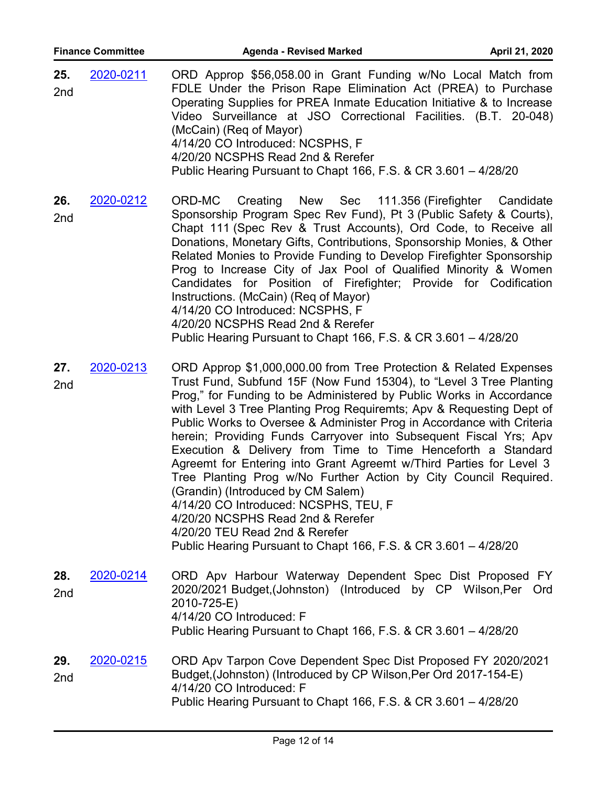|            | <b>Finance Committee</b> | <b>Agenda - Revised Marked</b>                                                                                                                                                                                                                                                                                                                                                                                                                                                                                                                                                                                                                                                                                                                                                                                                                                            | April 21, 2020 |
|------------|--------------------------|---------------------------------------------------------------------------------------------------------------------------------------------------------------------------------------------------------------------------------------------------------------------------------------------------------------------------------------------------------------------------------------------------------------------------------------------------------------------------------------------------------------------------------------------------------------------------------------------------------------------------------------------------------------------------------------------------------------------------------------------------------------------------------------------------------------------------------------------------------------------------|----------------|
| 25.<br>2nd | 2020-0211                | ORD Approp \$56,058.00 in Grant Funding w/No Local Match from<br>FDLE Under the Prison Rape Elimination Act (PREA) to Purchase<br>Operating Supplies for PREA Inmate Education Initiative & to Increase<br>Video Surveillance at JSO Correctional Facilities. (B.T. 20-048)<br>(McCain) (Req of Mayor)<br>4/14/20 CO Introduced: NCSPHS, F<br>4/20/20 NCSPHS Read 2nd & Rerefer<br>Public Hearing Pursuant to Chapt 166, F.S. & CR 3.601 - 4/28/20                                                                                                                                                                                                                                                                                                                                                                                                                        |                |
| 26.<br>2nd | 2020-0212                | ORD-MC<br>New Sec 111.356 (Firefighter<br>Creating<br>Sponsorship Program Spec Rev Fund), Pt 3 (Public Safety & Courts),<br>Chapt 111 (Spec Rev & Trust Accounts), Ord Code, to Receive all<br>Donations, Monetary Gifts, Contributions, Sponsorship Monies, & Other<br>Related Monies to Provide Funding to Develop Firefighter Sponsorship<br>Prog to Increase City of Jax Pool of Qualified Minority & Women<br>Candidates for Position of Firefighter; Provide for Codification<br>Instructions. (McCain) (Req of Mayor)<br>4/14/20 CO Introduced: NCSPHS, F<br>4/20/20 NCSPHS Read 2nd & Rerefer<br>Public Hearing Pursuant to Chapt 166, F.S. & CR 3.601 - 4/28/20                                                                                                                                                                                                  | Candidate      |
| 27.<br>2nd | 2020-0213                | ORD Approp \$1,000,000.00 from Tree Protection & Related Expenses<br>Trust Fund, Subfund 15F (Now Fund 15304), to "Level 3 Tree Planting<br>Prog," for Funding to be Administered by Public Works in Accordance<br>with Level 3 Tree Planting Prog Requiremts; Apv & Requesting Dept of<br>Public Works to Oversee & Administer Prog in Accordance with Criteria<br>herein; Providing Funds Carryover into Subsequent Fiscal Yrs; Apv<br>Execution & Delivery from Time to Time Henceforth a Standard<br>Agreemt for Entering into Grant Agreemt w/Third Parties for Level 3<br>Tree Planting Prog w/No Further Action by City Council Required.<br>(Grandin) (Introduced by CM Salem)<br>4/14/20 CO Introduced: NCSPHS, TEU, F<br>4/20/20 NCSPHS Read 2nd & Rerefer<br>4/20/20 TEU Read 2nd & Rerefer<br>Public Hearing Pursuant to Chapt 166, F.S. & CR 3.601 - 4/28/20 |                |
| 28.<br>2nd | 2020-0214                | ORD Apv Harbour Waterway Dependent Spec Dist Proposed FY<br>2020/2021 Budget, (Johnston) (Introduced by CP Wilson, Per Ord<br>2010-725-E)<br>4/14/20 CO Introduced: F<br>Public Hearing Pursuant to Chapt 166, F.S. & CR 3.601 - 4/28/20                                                                                                                                                                                                                                                                                                                                                                                                                                                                                                                                                                                                                                  |                |
| 29.<br>2nd | 2020-0215                | ORD Apv Tarpon Cove Dependent Spec Dist Proposed FY 2020/2021<br>Budget, (Johnston) (Introduced by CP Wilson, Per Ord 2017-154-E)<br>4/14/20 CO Introduced: F<br>Public Hearing Pursuant to Chapt 166, F.S. & CR 3.601 - 4/28/20                                                                                                                                                                                                                                                                                                                                                                                                                                                                                                                                                                                                                                          |                |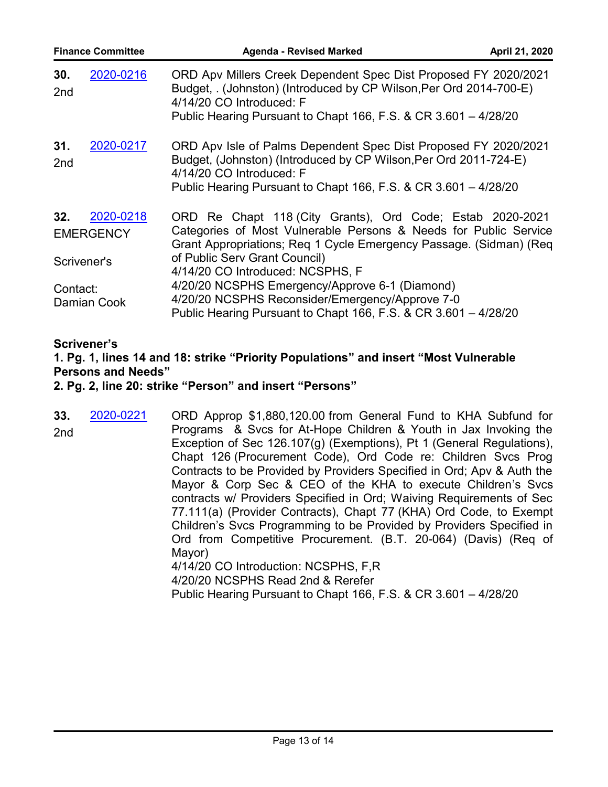| <b>Finance Committee</b> |                               | <b>Agenda - Revised Marked</b>                                                                                                                                                                                                       | April 21, 2020 |
|--------------------------|-------------------------------|--------------------------------------------------------------------------------------------------------------------------------------------------------------------------------------------------------------------------------------|----------------|
| 30.<br>2 <sub>nd</sub>   | 2020-0216                     | ORD Apv Millers Creek Dependent Spec Dist Proposed FY 2020/2021<br>Budget, . (Johnston) (Introduced by CP Wilson, Per Ord 2014-700-E)<br>4/14/20 CO Introduced: F<br>Public Hearing Pursuant to Chapt 166, F.S. & CR 3.601 - 4/28/20 |                |
| 31.<br>2 <sub>nd</sub>   | 2020-0217                     | ORD Apv Isle of Palms Dependent Spec Dist Proposed FY 2020/2021<br>Budget, (Johnston) (Introduced by CP Wilson, Per Ord 2011-724-E)<br>4/14/20 CO Introduced: F<br>Public Hearing Pursuant to Chapt 166, F.S. & CR 3.601 - 4/28/20   |                |
| 32.                      | 2020-0218<br><b>EMERGENCY</b> | ORD Re Chapt 118 (City Grants), Ord Code; Estab 2020-2021<br>Categories of Most Vulnerable Persons & Needs for Public Service<br>Grant Appropriations; Req 1 Cycle Emergency Passage. (Sidman) (Req                                  |                |
| Scrivener's              |                               | of Public Serv Grant Council)<br>4/14/20 CO Introduced: NCSPHS, F                                                                                                                                                                    |                |
| Contact:<br>Damian Cook  |                               | 4/20/20 NCSPHS Emergency/Approve 6-1 (Diamond)<br>4/20/20 NCSPHS Reconsider/Emergency/Approve 7-0<br>Public Hearing Pursuant to Chapt 166, F.S. & CR 3.601 - 4/28/20                                                                 |                |

## **Scrivener's**

## **1. Pg. 1, lines 14 and 18: strike "Priority Populations" and insert "Most Vulnerable Persons and Needs"**

#### **2. Pg. 2, line 20: strike "Person" and insert "Persons"**

ORD Approp \$1,880,120.00 from General Fund to KHA Subfund for Programs & Svcs for At-Hope Children & Youth in Jax Invoking the Exception of Sec 126.107(g) (Exemptions), Pt 1 (General Regulations), Chapt 126 (Procurement Code), Ord Code re: Children Svcs Prog Contracts to be Provided by Providers Specified in Ord; Apv & Auth the Mayor & Corp Sec & CEO of the KHA to execute Children's Svcs contracts w/ Providers Specified in Ord; Waiving Requirements of Sec 77.111(a) (Provider Contracts), Chapt 77 (KHA) Ord Code, to Exempt Children's Svcs Programming to be Provided by Providers Specified in Ord from Competitive Procurement. (B.T. 20-064) (Davis) (Req of Mayor) 4/14/20 CO Introduction: NCSPHS, F,R 4/20/20 NCSPHS Read 2nd & Rerefer Public Hearing Pursuant to Chapt 166, F.S. & CR 3.601 – 4/28/20 **33.** [2020-0221](http://jaxcityc.legistar.com/gateway.aspx?m=l&id=/matter.aspx?key=2294) 2nd